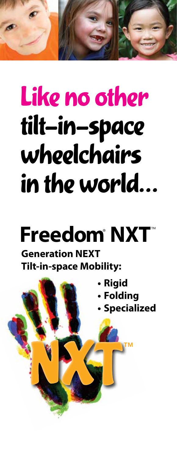# Like no other tilt-in-space wheelchairs in the world…

## **Freedom**® **NXT**™

#### **Generation NEXT Tilt-in-space Mobility:**

NXXII<sup>™</sup>

- **• Rigid**
	- **• Folding**
	- **• Specialized**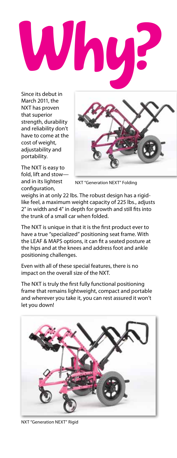

Since its debut in March 2011, the NXT has proven that superior strength, durability and reliability don't have to come at the cost of weight, adjustability and portability.





NXT "Generation NEXT" Folding

weighs in at only 22 lbs. The robust design has a rigidlike feel, a maximum weight capacity of 225 lbs., adjusts 2" in width and 4" in depth for growth and still fits into the trunk of a small car when folded.

The NXT is unique in that it is the first product ever to have a true "specialized" positioning seat frame. With the LEAF & MAPS options, it can fit a seated posture at the hips and at the knees and address foot and ankle positioning challenges.

Even with all of these special features, there is no impact on the overall size of the NXT.

The NXT is truly the first fully functional positioning frame that remains lightweight, compact and portable and wherever you take it, you can rest assured it won't let you down!



NXT "Generation NEXT" Rigid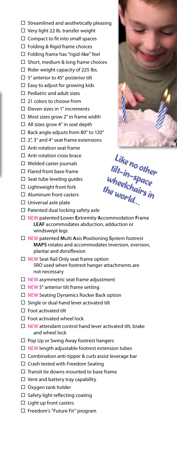- $\Box$  Streamlined and aesthetically pleasing
- □ Very light 22 lb. transfer weight
- $\Box$  Compact to fit into small spaces
- $\Box$  Folding & Rigid frame choices
- $\Box$  Folding frame has "rigid-like" feel
- $\Box$  Short, medium & long frame choices
- $\Box$  Rider weight capacity of 225 lbs.
- $\Box$  5° anterior to 45° posterior tilt
- $\Box$  Easy to adjust for growing kids
- $\Box$  Pediatric and adult sizes
- □ 21 colors to choose from
- $\square$  Eleven sizes in 1" increments
- $\square$  Most sizes grow 2" in frame width
- $\Box$  All sizes grow 4" in seat depth
- $\Box$  Back angle adjusts from 80 $^{\circ}$  to 120 $^{\circ}$
- $\Box$  2", 3" and 4" seat frame extensions
- $\Box$  Anti-rotation seat frame
- □ Anti-rotation cross brace
- $\Box$  Welded caster journals
- $\Box$  Flared front base frame
- $\Box$  Seat tube leveling quides
- $\square$  Lightweight front fork
- □ Aluminum front casters
- $\square$  Universal axle plate
- $\Box$  Patented dual locking safety axle
- Like no other tilt-in-space<br><sup>u</sup>heeld <sup>Space</sup>

wheelchairs<br>he wonld <sup>is in</sup> the world…

- NEW patented **L**ower **E**xtremity **A**ccommodation **F**rame **LEAF** accommodates abduction, adduction or windswept legs
- NEW patented **M**ulti **A**xis **P**ositioning **S**ystem footrest **MAPS** rotates and accommodates inversion, eversion, plantar and dorsiflexion
- $\Box$  NEW Seat Rail Only seat frame option SRO used when footrest hanger attachments are not necessary
- $\Box$  NEW asymmetric seat frame adjustment
- $\Box$  NEW 5° anterior tilt frame setting
- □ NEW Seating Dynamics Rocker Back option
- $\square$  Single or dual hand lever activated tilt
- $\square$  Foot activated tilt
- $\square$  Foot activated wheel lock
- $\Box$  NEW attendant control hand lever activated tilt, brake and wheel lock
- □ Pop Up or Swing Away footrest hangers
- $\Box$  NEW length adjustable footrest extension tubes
- $\square$  Combination anti-tipper & curb assist leverage bar
- $\Box$  Crash tested with Freedom Seating
- $\Box$  Transit tie downs mounted to base frame
- $\Box$  Vent and battery tray capability
- □ Oxygen tank holder
- $\Box$  Safety light reflecting coating
- $\Box$  Light up front casters
- □ Freedom's "Future Fit" program